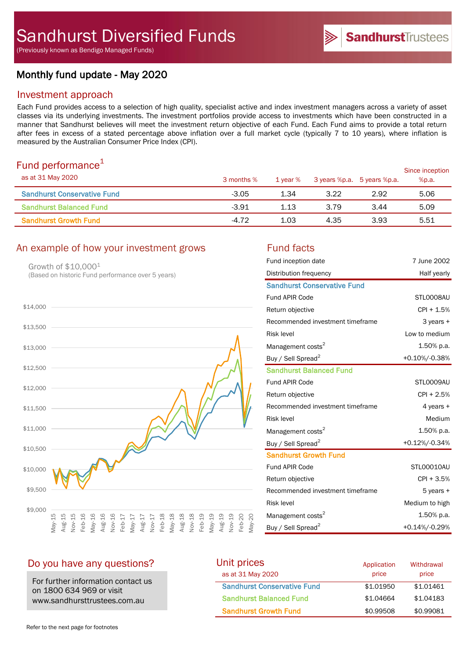(Previously known as Bendigo Managed Funds)

# Monthly fund update - May 2020

## Investment approach

Each Fund provides access to a selection of high quality, specialist active and index investment managers across a variety of asset classes via its underlying investments. The investment portfolios provide access to investments which have been constructed in a manner that Sandhurst believes will meet the investment return objective of each Fund. Each Fund aims to provide a total return after fees in excess of a stated percentage above inflation over a full market cycle (typically 7 to 10 years), where inflation is measured by the Australian Consumer Price Index (CPI).

# Fund performance $1$

| <u>. and pononnanoo</u><br>as at 31 May 2020 | 3 months % | 1 vear % |      | 3 years %p.a. 5 years %p.a. | Since inception<br>%p.a. |
|----------------------------------------------|------------|----------|------|-----------------------------|--------------------------|
| <b>Sandhurst Conservative Fund</b>           | $-3.05$    | 1.34     | 3.22 | 2.92                        | 5.06                     |
| <b>Sandhurst Balanced Fund</b>               | $-3.91$    | 1.13     | 3.79 | 3.44                        | 5.09                     |
| <b>Sandhurst Growth Fund</b>                 | $-4.72$    | 1.03     | 4.35 | 3.93                        | 5.51                     |

# An example of how your investment grows Fund facts

Growth of \$10,000<sup>1</sup> (Based on historic Fund performance over 5 years)



| Fund inception date                | 7 June 2002    |
|------------------------------------|----------------|
| Distribution frequency             | Half yearly    |
| <b>Sandhurst Conservative Fund</b> |                |
| <b>Fund APIR Code</b>              | STL0008AU      |
| Return objective                   | CPI + 1.5%     |
| Recommended investment timeframe   | 3 years +      |
| <b>Risk level</b>                  | Low to medium  |
| Management costs <sup>2</sup>      | 1.50% p.a.     |
| Buy / Sell Spread <sup>2</sup>     | +0.10%/-0.38%  |
| <b>Sandhurst Balanced Fund</b>     |                |
| <b>Fund APIR Code</b>              | STL0009AU      |
| Return objective                   | $CPI + 2.5%$   |
| Recommended investment timeframe   | 4 years +      |
| <b>Risk level</b>                  | Medium         |
| Management costs <sup>2</sup>      | 1.50% p.a.     |
| Buy / Sell Spread <sup>2</sup>     | +0.12%/-0.34%  |
| <b>Sandhurst Growth Fund</b>       |                |
| <b>Fund APIR Code</b>              | STL00010AU     |
| Return objective                   | CPI + 3.5%     |
| Recommended investment timeframe   | 5 years +      |
| <b>Risk level</b>                  | Medium to high |
| Management costs <sup>2</sup>      | 1.50% p.a.     |
| Buy / Sell Spread <sup>2</sup>     | +0.14%/-0.29%  |

# Do you have any questions?

For further information contact us on 1800 634 969 or visit www.sandhursttrustees.com.au

| Unit prices                        | Application | Withdrawal |
|------------------------------------|-------------|------------|
| as at 31 May 2020                  | price       | price      |
| <b>Sandhurst Conservative Fund</b> | \$1,01950   | \$1,01461  |
| <b>Sandhurst Balanced Fund</b>     | \$1.04664   | \$1,04183  |
| <b>Sandhurst Growth Fund</b>       | \$0.99508   | \$0.99081  |